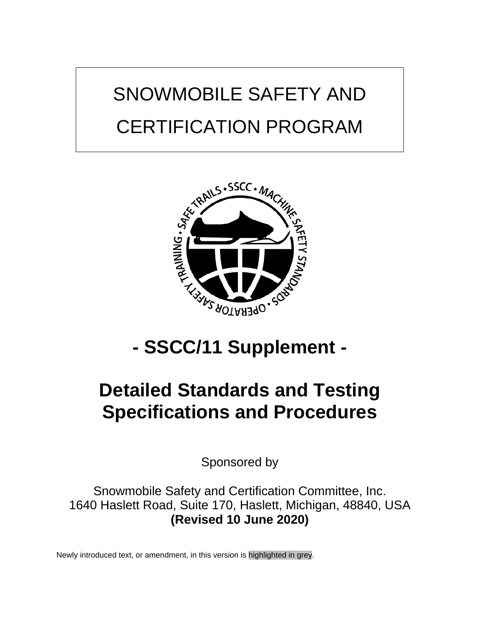# SNOWMOBILE SAFETY AND CERTIFICATION PROGRAM



## **- SSCC/11 Supplement -**

## **Detailed Standards and Testing Specifications and Procedures**

Sponsored by

Snowmobile Safety and Certification Committee, Inc. 1640 Haslett Road, Suite 170, Haslett, Michigan, 48840, USA **(Revised 10 June 2020)**

Newly introduced text, or amendment, in this version is highlighted in grey.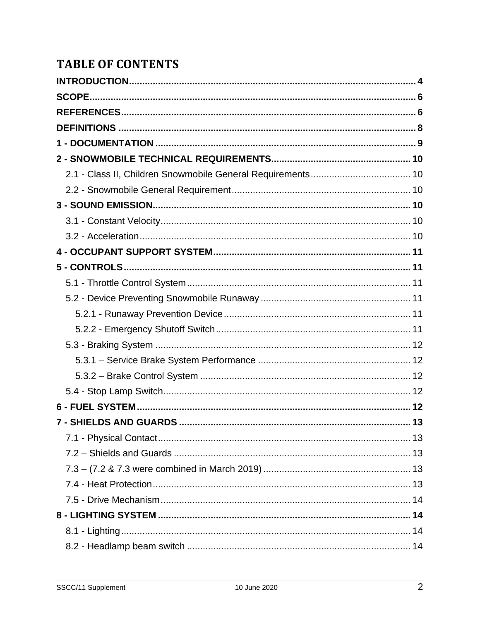## **TABLE OF CONTENTS**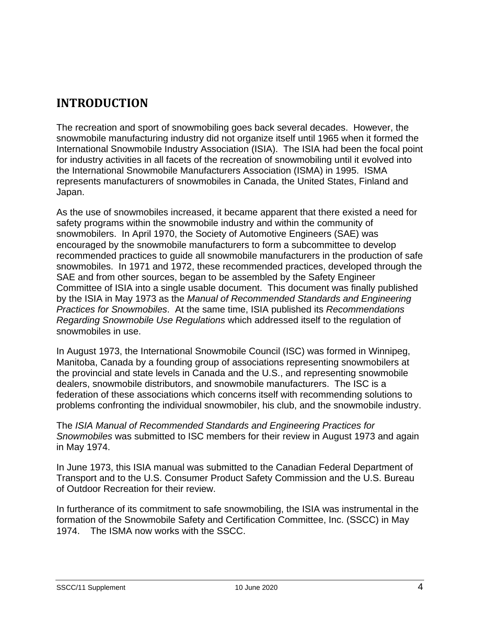## <span id="page-3-0"></span>**INTRODUCTION**

The recreation and sport of snowmobiling goes back several decades. However, the snowmobile manufacturing industry did not organize itself until 1965 when it formed the International Snowmobile Industry Association (ISIA). The ISIA had been the focal point for industry activities in all facets of the recreation of snowmobiling until it evolved into the International Snowmobile Manufacturers Association (ISMA) in 1995. ISMA represents manufacturers of snowmobiles in Canada, the United States, Finland and Japan.

As the use of snowmobiles increased, it became apparent that there existed a need for safety programs within the snowmobile industry and within the community of snowmobilers. In April 1970, the Society of Automotive Engineers (SAE) was encouraged by the snowmobile manufacturers to form a subcommittee to develop recommended practices to guide all snowmobile manufacturers in the production of safe snowmobiles. In 1971 and 1972, these recommended practices, developed through the SAE and from other sources, began to be assembled by the Safety Engineer Committee of ISIA into a single usable document. This document was finally published by the ISIA in May 1973 as the *Manual of Recommended Standards and Engineering Practices for Snowmobiles*. At the same time, ISIA published its *Recommendations Regarding Snowmobile Use Regulations* which addressed itself to the regulation of snowmobiles in use.

In August 1973, the International Snowmobile Council (ISC) was formed in Winnipeg, Manitoba, Canada by a founding group of associations representing snowmobilers at the provincial and state levels in Canada and the U.S., and representing snowmobile dealers, snowmobile distributors, and snowmobile manufacturers. The ISC is a federation of these associations which concerns itself with recommending solutions to problems confronting the individual snowmobiler, his club, and the snowmobile industry.

The *ISIA Manual of Recommended Standards and Engineering Practices for Snowmobiles* was submitted to ISC members for their review in August 1973 and again in May 1974.

In June 1973, this ISIA manual was submitted to the Canadian Federal Department of Transport and to the U.S. Consumer Product Safety Commission and the U.S. Bureau of Outdoor Recreation for their review.

In furtherance of its commitment to safe snowmobiling, the ISIA was instrumental in the formation of the Snowmobile Safety and Certification Committee, Inc. (SSCC) in May 1974. The ISMA now works with the SSCC.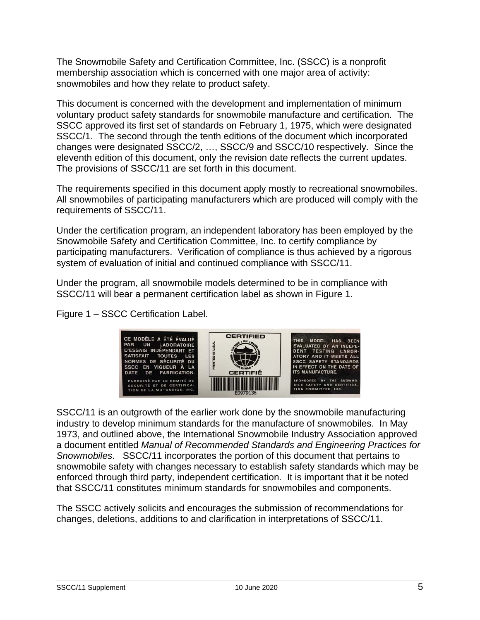The Snowmobile Safety and Certification Committee, Inc. (SSCC) is a nonprofit membership association which is concerned with one major area of activity: snowmobiles and how they relate to product safety.

This document is concerned with the development and implementation of minimum voluntary product safety standards for snowmobile manufacture and certification. The SSCC approved its first set of standards on February 1, 1975, which were designated SSCC/1. The second through the tenth editions of the document which incorporated changes were designated SSCC/2, …, SSCC/9 and SSCC/10 respectively. Since the eleventh edition of this document, only the revision date reflects the current updates. The provisions of SSCC/11 are set forth in this document.

The requirements specified in this document apply mostly to recreational snowmobiles. All snowmobiles of participating manufacturers which are produced will comply with the requirements of SSCC/11.

Under the certification program, an independent laboratory has been employed by the Snowmobile Safety and Certification Committee, Inc. to certify compliance by participating manufacturers. Verification of compliance is thus achieved by a rigorous system of evaluation of initial and continued compliance with SSCC/11.

Under the program, all snowmobile models determined to be in compliance with SSCC/11 will bear a permanent certification label as shown in Figure 1.

Figure 1 – SSCC Certification Label.



SSCC/11 is an outgrowth of the earlier work done by the snowmobile manufacturing industry to develop minimum standards for the manufacture of snowmobiles. In May 1973, and outlined above, the International Snowmobile Industry Association approved a document entitled *Manual of Recommended Standards and Engineering Practices for Snowmobiles*. SSCC/11 incorporates the portion of this document that pertains to snowmobile safety with changes necessary to establish safety standards which may be enforced through third party, independent certification. It is important that it be noted that SSCC/11 constitutes minimum standards for snowmobiles and components.

The SSCC actively solicits and encourages the submission of recommendations for changes, deletions, additions to and clarification in interpretations of SSCC/11.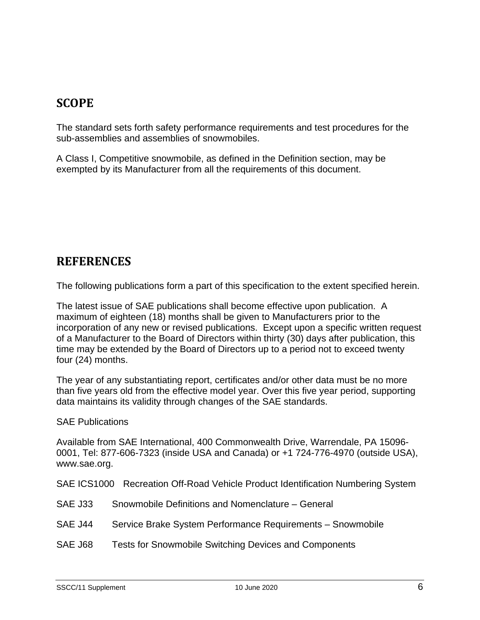## <span id="page-5-0"></span>**SCOPE**

The standard sets forth safety performance requirements and test procedures for the sub-assemblies and assemblies of snowmobiles.

A Class I, Competitive snowmobile, as defined in the Definition section, may be exempted by its Manufacturer from all the requirements of this document.

## <span id="page-5-1"></span>**REFERENCES**

The following publications form a part of this specification to the extent specified herein.

The latest issue of SAE publications shall become effective upon publication. A maximum of eighteen (18) months shall be given to Manufacturers prior to the incorporation of any new or revised publications. Except upon a specific written request of a Manufacturer to the Board of Directors within thirty (30) days after publication, this time may be extended by the Board of Directors up to a period not to exceed twenty four (24) months.

The year of any substantiating report, certificates and/or other data must be no more than five years old from the effective model year. Over this five year period, supporting data maintains its validity through changes of the SAE standards.

SAE Publications

Available from SAE International, 400 Commonwealth Drive, Warrendale, PA 15096- 0001, Tel: 877-606-7323 (inside USA and Canada) or +1 724-776-4970 (outside USA), www.sae.org.

SAE ICS1000 Recreation Off-Road Vehicle Product Identification Numbering System

- SAE J33 Snowmobile Definitions and Nomenclature General
- SAE J44 Service Brake System Performance Requirements Snowmobile
- SAE J68 Tests for Snowmobile Switching Devices and Components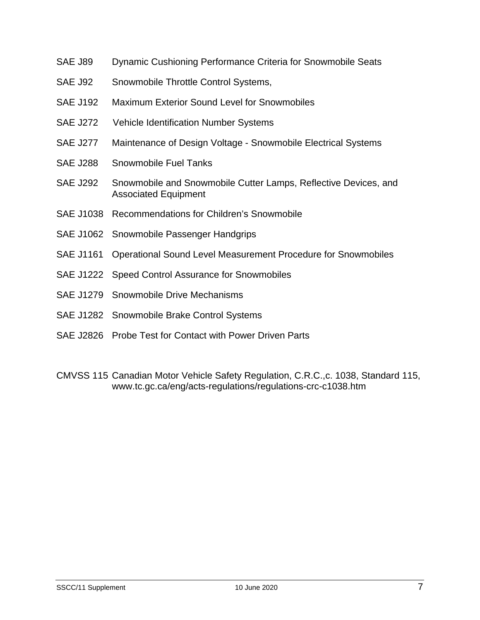- SAE J89 Dynamic Cushioning Performance Criteria for Snowmobile Seats
- SAE J92 Snowmobile Throttle Control Systems,
- SAE J192 Maximum Exterior Sound Level for Snowmobiles
- SAE J272 Vehicle Identification Number Systems
- SAE J277 Maintenance of Design Voltage Snowmobile Electrical Systems
- SAE J288 Snowmobile Fuel Tanks
- SAE J292 Snowmobile and Snowmobile Cutter Lamps, Reflective Devices, and Associated Equipment
- SAE J1038 Recommendations for Children's Snowmobile
- SAE J1062 Snowmobile Passenger Handgrips
- SAE J1161 Operational Sound Level Measurement Procedure for Snowmobiles
- SAE J1222 Speed Control Assurance for Snowmobiles
- SAE J1279 Snowmobile Drive Mechanisms
- SAE J1282 Snowmobile Brake Control Systems
- SAE J2826 Probe Test for Contact with Power Driven Parts
- CMVSS 115 Canadian Motor Vehicle Safety Regulation, C.R.C.,c. 1038, Standard 115, www.tc.gc.ca/eng/acts-regulations/regulations-crc-c1038.htm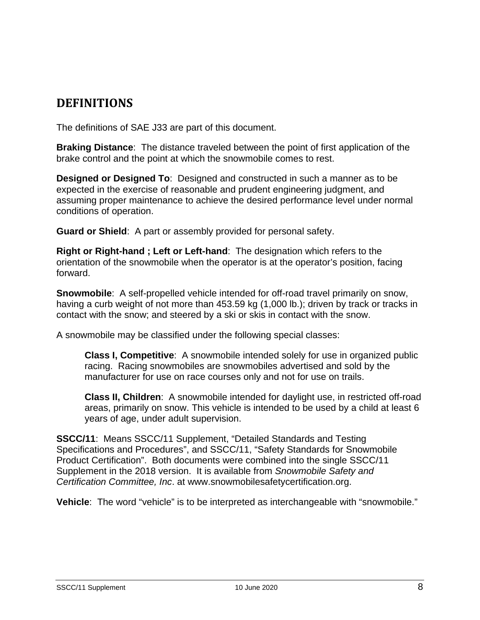## <span id="page-7-0"></span>**DEFINITIONS**

The definitions of SAE J33 are part of this document.

**Braking Distance**: The distance traveled between the point of first application of the brake control and the point at which the snowmobile comes to rest.

**Designed or Designed To**: Designed and constructed in such a manner as to be expected in the exercise of reasonable and prudent engineering judgment, and assuming proper maintenance to achieve the desired performance level under normal conditions of operation.

**Guard or Shield**: A part or assembly provided for personal safety.

**Right or Right-hand ; Left or Left-hand**: The designation which refers to the orientation of the snowmobile when the operator is at the operator's position, facing forward.

**Snowmobile**: A self-propelled vehicle intended for off-road travel primarily on snow, having a curb weight of not more than 453.59 kg (1,000 lb.); driven by track or tracks in contact with the snow; and steered by a ski or skis in contact with the snow.

A snowmobile may be classified under the following special classes:

**Class I, Competitive**: A snowmobile intended solely for use in organized public racing. Racing snowmobiles are snowmobiles advertised and sold by the manufacturer for use on race courses only and not for use on trails.

**Class II, Children**: A snowmobile intended for daylight use, in restricted off-road areas, primarily on snow. This vehicle is intended to be used by a child at least 6 years of age, under adult supervision.

**SSCC/11**: Means SSCC/11 Supplement, "Detailed Standards and Testing Specifications and Procedures", and SSCC/11, "Safety Standards for Snowmobile Product Certification". Both documents were combined into the single SSCC/11 Supplement in the 2018 version. It is available from *Snowmobile Safety and Certification Committee, Inc*. at www.snowmobilesafetycertification.org.

**Vehicle**: The word "vehicle" is to be interpreted as interchangeable with "snowmobile."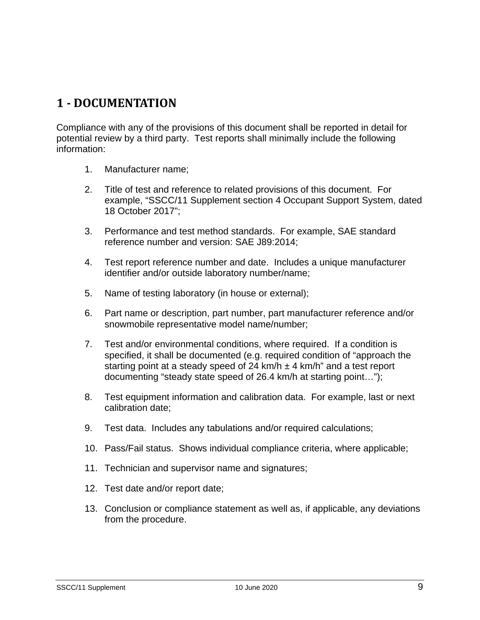## <span id="page-8-0"></span>**1 - DOCUMENTATION**

Compliance with any of the provisions of this document shall be reported in detail for potential review by a third party. Test reports shall minimally include the following information:

- 1. Manufacturer name;
- 2. Title of test and reference to related provisions of this document. For example, "SSCC/11 Supplement section 4 Occupant Support System, dated 18 October 2017";
- 3. Performance and test method standards. For example, SAE standard reference number and version: SAE J89:2014;
- 4. Test report reference number and date. Includes a unique manufacturer identifier and/or outside laboratory number/name;
- 5. Name of testing laboratory (in house or external);
- 6. Part name or description, part number, part manufacturer reference and/or snowmobile representative model name/number;
- 7. Test and/or environmental conditions, where required. If a condition is specified, it shall be documented (e.g. required condition of "approach the starting point at a steady speed of 24 km/h  $\pm$  4 km/h" and a test report documenting "steady state speed of 26.4 km/h at starting point…");
- 8. Test equipment information and calibration data. For example, last or next calibration date;
- 9. Test data. Includes any tabulations and/or required calculations;
- 10. Pass/Fail status. Shows individual compliance criteria, where applicable;
- 11. Technician and supervisor name and signatures;
- 12. Test date and/or report date;
- 13. Conclusion or compliance statement as well as, if applicable, any deviations from the procedure.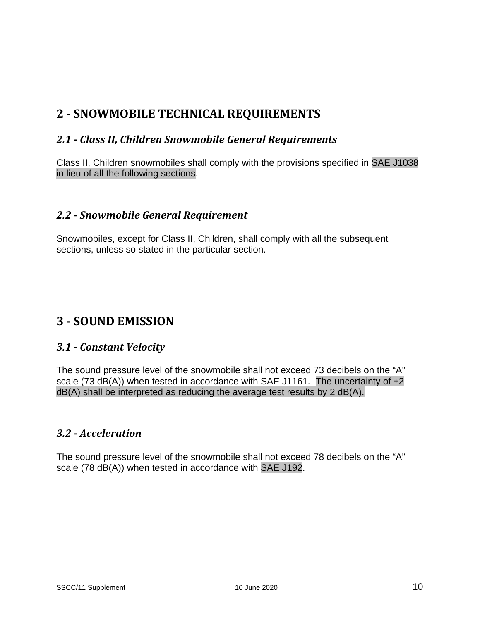## <span id="page-9-0"></span>**2 - SNOWMOBILE TECHNICAL REQUIREMENTS**

#### <span id="page-9-1"></span>*2.1 - Class II, Children Snowmobile General Requirements*

Class II, Children snowmobiles shall comply with the provisions specified in SAE J1038 in lieu of all the following sections.

#### <span id="page-9-2"></span>*2.2 - Snowmobile General Requirement*

Snowmobiles, except for Class II, Children, shall comply with all the subsequent sections, unless so stated in the particular section.

## <span id="page-9-3"></span>**3 - SOUND EMISSION**

#### <span id="page-9-4"></span>*3.1 - Constant Velocity*

The sound pressure level of the snowmobile shall not exceed 73 decibels on the "A" scale (73 dB(A)) when tested in accordance with SAE J1161. The uncertainty of  $\pm 2$ dB(A) shall be interpreted as reducing the average test results by 2 dB(A).

#### <span id="page-9-5"></span>*3.2 - Acceleration*

The sound pressure level of the snowmobile shall not exceed 78 decibels on the "A" scale (78 dB(A)) when tested in accordance with SAE J192.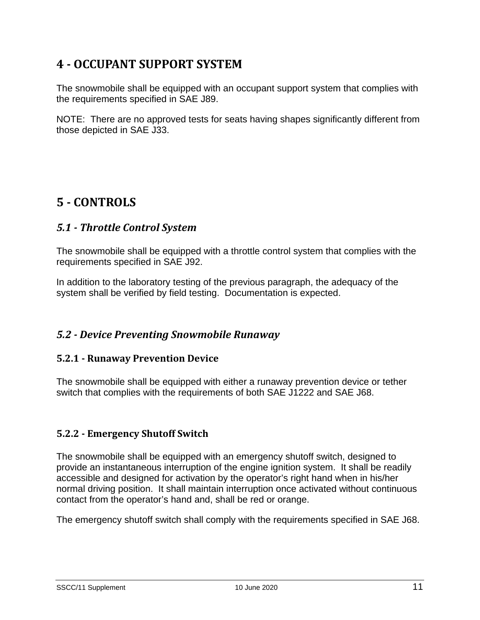## <span id="page-10-0"></span>**4 - OCCUPANT SUPPORT SYSTEM**

The snowmobile shall be equipped with an occupant support system that complies with the requirements specified in SAE J89.

NOTE: There are no approved tests for seats having shapes significantly different from those depicted in SAE J33.

## <span id="page-10-1"></span>**5 - CONTROLS**

#### <span id="page-10-2"></span>*5.1 - Throttle Control System*

The snowmobile shall be equipped with a throttle control system that complies with the requirements specified in SAE J92.

In addition to the laboratory testing of the previous paragraph, the adequacy of the system shall be verified by field testing. Documentation is expected.

#### <span id="page-10-3"></span>*5.2 - Device Preventing Snowmobile Runaway*

#### <span id="page-10-4"></span>**5.2.1 - Runaway Prevention Device**

The snowmobile shall be equipped with either a runaway prevention device or tether switch that complies with the requirements of both SAE J1222 and SAE J68.

#### <span id="page-10-5"></span>**5.2.2 - Emergency Shutoff Switch**

The snowmobile shall be equipped with an emergency shutoff switch, designed to provide an instantaneous interruption of the engine ignition system. It shall be readily accessible and designed for activation by the operator's right hand when in his/her normal driving position. It shall maintain interruption once activated without continuous contact from the operator's hand and, shall be red or orange.

The emergency shutoff switch shall comply with the requirements specified in SAE J68.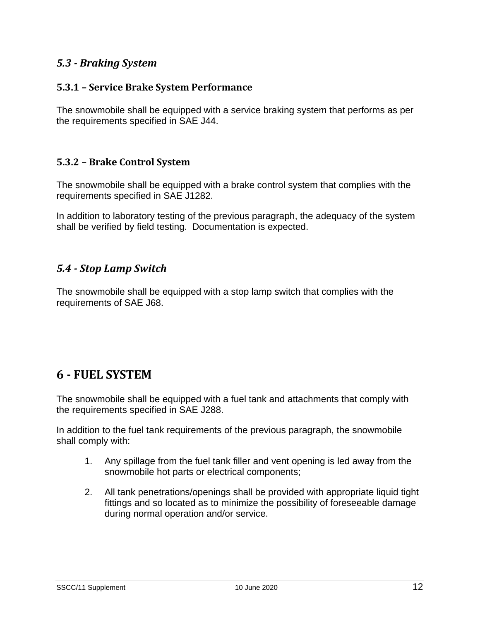#### <span id="page-11-0"></span>*5.3 - Braking System*

#### <span id="page-11-1"></span>**5.3.1 – Service Brake System Performance**

The snowmobile shall be equipped with a service braking system that performs as per the requirements specified in SAE J44.

#### <span id="page-11-2"></span>**5.3.2 – Brake Control System**

The snowmobile shall be equipped with a brake control system that complies with the requirements specified in SAE J1282.

In addition to laboratory testing of the previous paragraph, the adequacy of the system shall be verified by field testing. Documentation is expected.

#### <span id="page-11-3"></span>*5.4 - Stop Lamp Switch*

The snowmobile shall be equipped with a stop lamp switch that complies with the requirements of SAE J68.

## <span id="page-11-4"></span>**6 - FUEL SYSTEM**

The snowmobile shall be equipped with a fuel tank and attachments that comply with the requirements specified in SAE J288.

In addition to the fuel tank requirements of the previous paragraph, the snowmobile shall comply with:

- 1. Any spillage from the fuel tank filler and vent opening is led away from the snowmobile hot parts or electrical components;
- 2. All tank penetrations/openings shall be provided with appropriate liquid tight fittings and so located as to minimize the possibility of foreseeable damage during normal operation and/or service.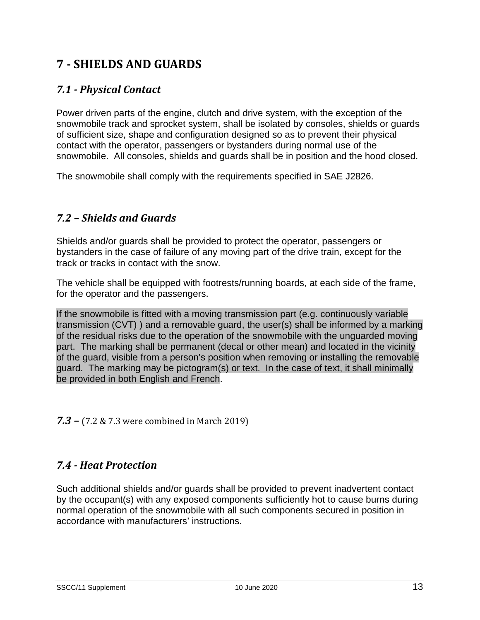## <span id="page-12-0"></span>**7 - SHIELDS AND GUARDS**

#### <span id="page-12-1"></span>*7.1 - Physical Contact*

Power driven parts of the engine, clutch and drive system, with the exception of the snowmobile track and sprocket system, shall be isolated by consoles, shields or guards of sufficient size, shape and configuration designed so as to prevent their physical contact with the operator, passengers or bystanders during normal use of the snowmobile. All consoles, shields and guards shall be in position and the hood closed.

The snowmobile shall comply with the requirements specified in SAE J2826.

#### <span id="page-12-2"></span>*7.2 – Shields and Guards*

Shields and/or guards shall be provided to protect the operator, passengers or bystanders in the case of failure of any moving part of the drive train, except for the track or tracks in contact with the snow.

The vehicle shall be equipped with footrests/running boards, at each side of the frame, for the operator and the passengers.

If the snowmobile is fitted with a moving transmission part (e.g. continuously variable transmission (CVT) ) and a removable guard, the user(s) shall be informed by a marking of the residual risks due to the operation of the snowmobile with the unguarded moving part. The marking shall be permanent (decal or other mean) and located in the vicinity of the guard, visible from a person's position when removing or installing the removable guard. The marking may be pictogram(s) or text. In the case of text, it shall minimally be provided in both English and French.

<span id="page-12-3"></span>*7.3 –* (7.2 & 7.3 were combined in March 2019)

#### <span id="page-12-4"></span>*7.4 - Heat Protection*

Such additional shields and/or guards shall be provided to prevent inadvertent contact by the occupant(s) with any exposed components sufficiently hot to cause burns during normal operation of the snowmobile with all such components secured in position in accordance with manufacturers' instructions.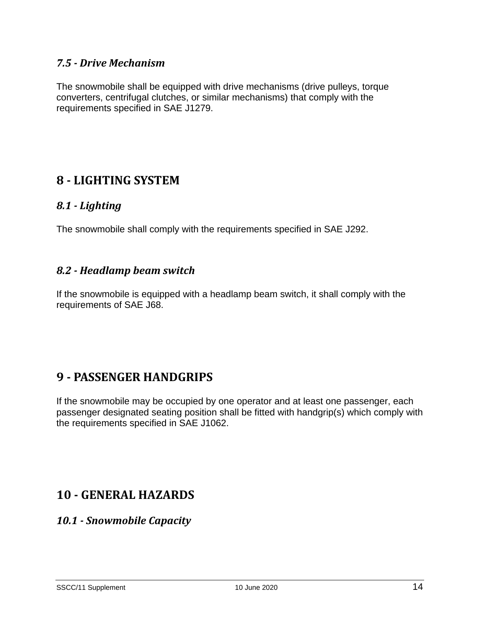#### <span id="page-13-0"></span>*7.5 - Drive Mechanism*

The snowmobile shall be equipped with drive mechanisms (drive pulleys, torque converters, centrifugal clutches, or similar mechanisms) that comply with the requirements specified in SAE J1279.

## <span id="page-13-1"></span>**8 - LIGHTING SYSTEM**

#### <span id="page-13-2"></span>*8.1 - Lighting*

The snowmobile shall comply with the requirements specified in SAE J292.

#### <span id="page-13-3"></span>*8.2 - Headlamp beam switch*

If the snowmobile is equipped with a headlamp beam switch, it shall comply with the requirements of SAE J68.

## <span id="page-13-4"></span>**9 - PASSENGER HANDGRIPS**

If the snowmobile may be occupied by one operator and at least one passenger, each passenger designated seating position shall be fitted with handgrip(s) which comply with the requirements specified in SAE J1062.

## <span id="page-13-5"></span>**10 - GENERAL HAZARDS**

#### <span id="page-13-6"></span>*10.1 - Snowmobile Capacity*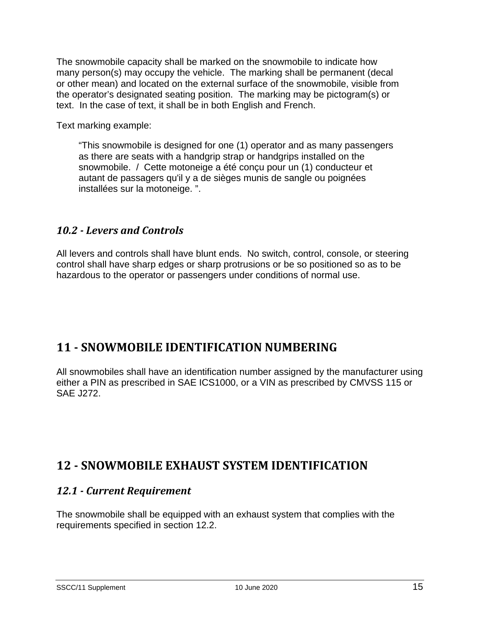The snowmobile capacity shall be marked on the snowmobile to indicate how many person(s) may occupy the vehicle. The marking shall be permanent (decal or other mean) and located on the external surface of the snowmobile, visible from the operator's designated seating position. The marking may be pictogram(s) or text. In the case of text, it shall be in both English and French.

Text marking example:

"This snowmobile is designed for one (1) operator and as many passengers as there are seats with a handgrip strap or handgrips installed on the snowmobile. / Cette motoneige a été conçu pour un (1) conducteur et autant de passagers qu'il y a de sièges munis de sangle ou poignées installées sur la motoneige. ".

#### <span id="page-14-0"></span>*10.2 - Levers and Controls*

All levers and controls shall have blunt ends. No switch, control, console, or steering control shall have sharp edges or sharp protrusions or be so positioned so as to be hazardous to the operator or passengers under conditions of normal use.

## <span id="page-14-1"></span>**11 - SNOWMOBILE IDENTIFICATION NUMBERING**

All snowmobiles shall have an identification number assigned by the manufacturer using either a PIN as prescribed in SAE ICS1000, or a VIN as prescribed by CMVSS 115 or SAE J272.

## <span id="page-14-2"></span>**12 - SNOWMOBILE EXHAUST SYSTEM IDENTIFICATION**

#### <span id="page-14-3"></span>*12.1 - Current Requirement*

The snowmobile shall be equipped with an exhaust system that complies with the requirements specified in section 12.2.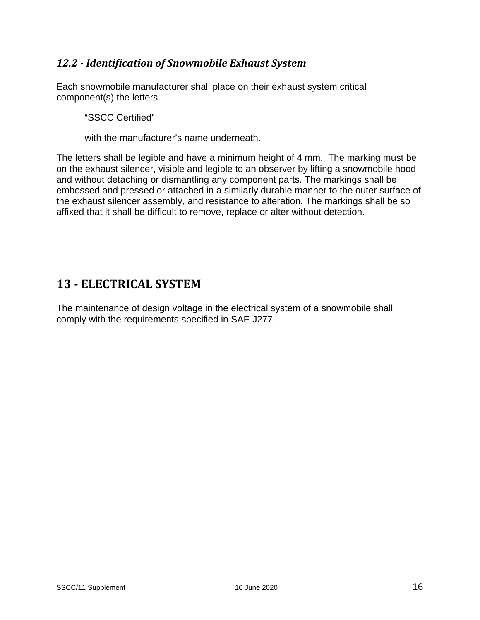#### <span id="page-15-0"></span>*12.2 - Identification of Snowmobile Exhaust System*

Each snowmobile manufacturer shall place on their exhaust system critical component(s) the letters

"SSCC Certified"

with the manufacturer's name underneath.

The letters shall be legible and have a minimum height of 4 mm. The marking must be on the exhaust silencer, visible and legible to an observer by lifting a snowmobile hood and without detaching or dismantling any component parts. The markings shall be embossed and pressed or attached in a similarly durable manner to the outer surface of the exhaust silencer assembly, and resistance to alteration. The markings shall be so affixed that it shall be difficult to remove, replace or alter without detection.

## <span id="page-15-1"></span>**13 - ELECTRICAL SYSTEM**

The maintenance of design voltage in the electrical system of a snowmobile shall comply with the requirements specified in SAE J277.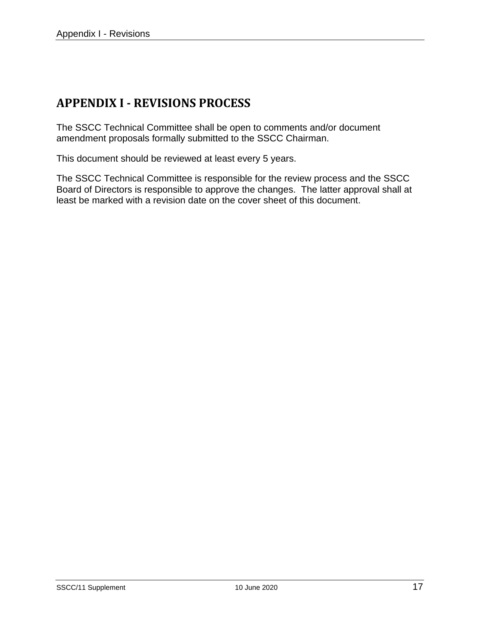## <span id="page-16-0"></span>**APPENDIX I - REVISIONS PROCESS**

The SSCC Technical Committee shall be open to comments and/or document amendment proposals formally submitted to the SSCC Chairman.

This document should be reviewed at least every 5 years.

The SSCC Technical Committee is responsible for the review process and the SSCC Board of Directors is responsible to approve the changes. The latter approval shall at least be marked with a revision date on the cover sheet of this document.